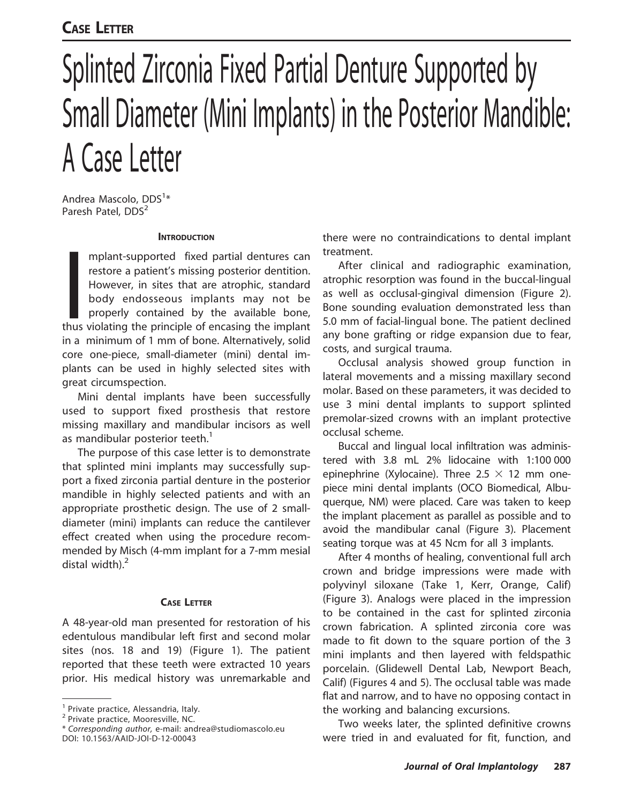# CASE LETTER

# Splinted Zirconia Fixed Partial Denture Supported by Small Diameter (Mini Implants) in the Posterior Mandible: A Case Letter

Andrea Mascolo, DDS<sup>1</sup>\* Paresh Patel, DDS<sup>2</sup>

#### **INTRODUCTION**

mplant-supported fixed partial dentures can<br>restore a patient's missing posterior dentition.<br>However, in sites that are atrophic, standard<br>body endosseous implants may not be<br>properly contained by the available bone,<br>thus mplant-supported fixed partial dentures can restore a patient's missing posterior dentition. However, in sites that are atrophic, standard body endosseous implants may not be properly contained by the available bone, in a minimum of 1 mm of bone. Alternatively, solid core one-piece, small-diameter (mini) dental implants can be used in highly selected sites with great circumspection.

Mini dental implants have been successfully used to support fixed prosthesis that restore missing maxillary and mandibular incisors as well as mandibular posterior teeth.<sup>1</sup>

The purpose of this case letter is to demonstrate that splinted mini implants may successfully support a fixed zirconia partial denture in the posterior mandible in highly selected patients and with an appropriate prosthetic design. The use of 2 smalldiameter (mini) implants can reduce the cantilever effect created when using the procedure recommended by Misch (4-mm implant for a 7-mm mesial distal width). $<sup>2</sup>$ </sup>

## CASE LETTER

A 48-year-old man presented for restoration of his edentulous mandibular left first and second molar sites (nos. 18 and 19) (Figure 1). The patient reported that these teeth were extracted 10 years prior. His medical history was unremarkable and there were no contraindications to dental implant treatment.

After clinical and radiographic examination, atrophic resorption was found in the buccal-lingual as well as occlusal-gingival dimension (Figure 2). Bone sounding evaluation demonstrated less than 5.0 mm of facial-lingual bone. The patient declined any bone grafting or ridge expansion due to fear, costs, and surgical trauma.

Occlusal analysis showed group function in lateral movements and a missing maxillary second molar. Based on these parameters, it was decided to use 3 mini dental implants to support splinted premolar-sized crowns with an implant protective occlusal scheme.

Buccal and lingual local infiltration was administered with 3.8 mL 2% lidocaine with 1:100 000 epinephrine (Xylocaine). Three 2.5  $\times$  12 mm onepiece mini dental implants (OCO Biomedical, Albuquerque, NM) were placed. Care was taken to keep the implant placement as parallel as possible and to avoid the mandibular canal (Figure 3). Placement seating torque was at 45 Ncm for all 3 implants.

After 4 months of healing, conventional full arch crown and bridge impressions were made with polyvinyl siloxane (Take 1, Kerr, Orange, Calif) (Figure 3). Analogs were placed in the impression to be contained in the cast for splinted zirconia crown fabrication. A splinted zirconia core was made to fit down to the square portion of the 3 mini implants and then layered with feldspathic porcelain. (Glidewell Dental Lab, Newport Beach, Calif) (Figures 4 and 5). The occlusal table was made flat and narrow, and to have no opposing contact in the working and balancing excursions.

Two weeks later, the splinted definitive crowns were tried in and evaluated for fit, function, and

<sup>&</sup>lt;sup>1</sup> Private practice, Alessandria, Italy.

<sup>2</sup> Private practice, Mooresville, NC.

<sup>\*</sup> Corresponding author, e-mail: andrea@studiomascolo.eu DOI: 10.1563/AAID-JOI-D-12-00043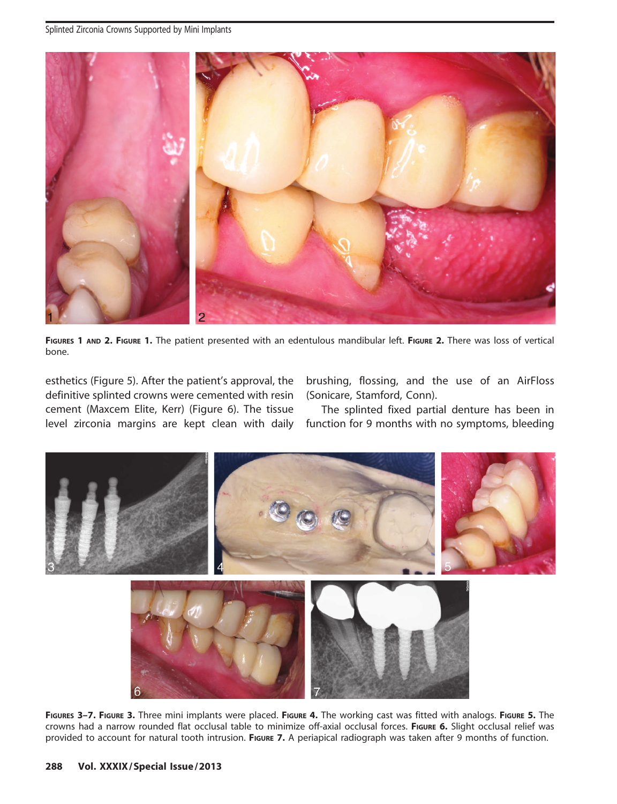

FIGURES 1 AND 2. FIGURE 1. The patient presented with an edentulous mandibular left. FIGURE 2. There was loss of vertical bone.

esthetics (Figure 5). After the patient's approval, the definitive splinted crowns were cemented with resin cement (Maxcem Elite, Kerr) (Figure 6). The tissue level zirconia margins are kept clean with daily brushing, flossing, and the use of an AirFloss (Sonicare, Stamford, Conn).

The splinted fixed partial denture has been in function for 9 months with no symptoms, bleeding



FIGURES 3-7. FIGURE 3. Three mini implants were placed. FIGURE 4. The working cast was fitted with analogs. FIGURE 5. The crowns had a narrow rounded flat occlusal table to minimize off-axial occlusal forces. FIGURE 6. Slight occlusal relief was provided to account for natural tooth intrusion. FIGURE 7. A periapical radiograph was taken after 9 months of function.